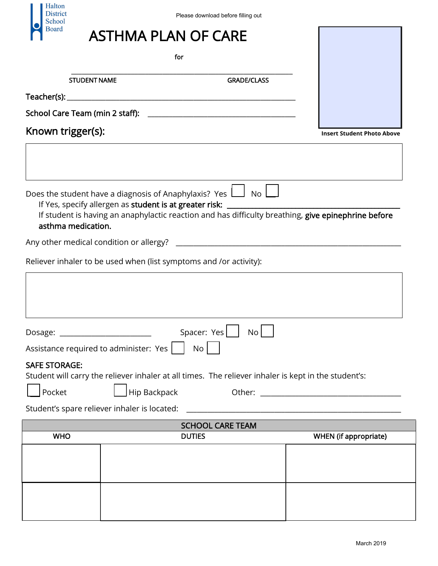| Halton<br>District<br>School    | Please download before filling out                                                                                                                                                                                                       |                                                                                                                       |
|---------------------------------|------------------------------------------------------------------------------------------------------------------------------------------------------------------------------------------------------------------------------------------|-----------------------------------------------------------------------------------------------------------------------|
| Board                           | <b>ASTHMA PLAN OF CARE</b>                                                                                                                                                                                                               |                                                                                                                       |
|                                 | for                                                                                                                                                                                                                                      |                                                                                                                       |
| <b>STUDENT NAME</b>             | <b>GRADE/CLASS</b>                                                                                                                                                                                                                       |                                                                                                                       |
|                                 |                                                                                                                                                                                                                                          |                                                                                                                       |
| School Care Team (min 2 staff): | <u> 1989 - Jan James James James James James James James James James James James James James James James James J</u>                                                                                                                     |                                                                                                                       |
| Known trigger(s):               | <b>Insert Student Photo Above</b>                                                                                                                                                                                                        |                                                                                                                       |
| asthma medication.              | Does the student have a diagnosis of Anaphylaxis? Yes $\Box$ No $\Box$<br>If Yes, specify allergen as student is at greater risk:<br>If student is having an anaphylactic reaction and has difficulty breathing, give epinephrine before |                                                                                                                       |
|                                 |                                                                                                                                                                                                                                          |                                                                                                                       |
|                                 | Reliever inhaler to be used when (list symptoms and /or activity):                                                                                                                                                                       |                                                                                                                       |
|                                 | Spacer: Yes<br>No                                                                                                                                                                                                                        |                                                                                                                       |
|                                 | Assistance required to administer: Yes  <br>No <sub>1</sub>                                                                                                                                                                              |                                                                                                                       |
| <b>SAFE STORAGE:</b>            |                                                                                                                                                                                                                                          |                                                                                                                       |
|                                 | Student will carry the reliever inhaler at all times. The reliever inhaler is kept in the student's:                                                                                                                                     |                                                                                                                       |
| Pocket                          | Hip Backpack                                                                                                                                                                                                                             |                                                                                                                       |
|                                 | Student's spare reliever inhaler is located:                                                                                                                                                                                             | <u> 1980 - John Stein, maritan besteht fan de ferstjer fan de ferstjer fan de ferstjer fan de ferstjer fan de fer</u> |
|                                 | <b>SCHOOL CARE TEAM</b>                                                                                                                                                                                                                  |                                                                                                                       |
| <b>WHO</b>                      | <b>DUTIES</b>                                                                                                                                                                                                                            | <b>WHEN</b> (if appropriate)                                                                                          |
|                                 |                                                                                                                                                                                                                                          |                                                                                                                       |
|                                 |                                                                                                                                                                                                                                          |                                                                                                                       |
|                                 |                                                                                                                                                                                                                                          |                                                                                                                       |
|                                 |                                                                                                                                                                                                                                          | March 2019                                                                                                            |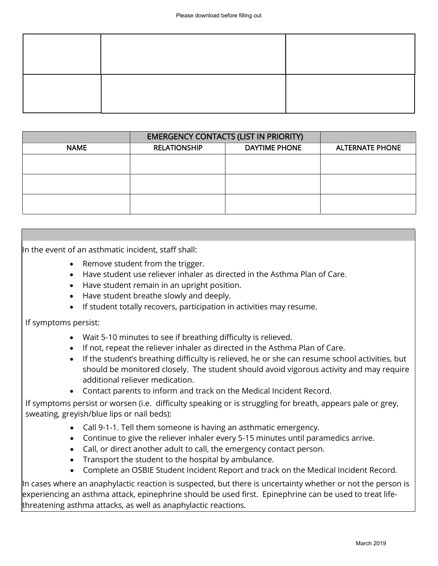| Please download before filling out                                                                                                                                                                                                                                                                                                                                                                                                                                                                                                                                                                                                                                                                                                                                                                                                                                                                                                                              |                                                     |                                                                                                                                                                                                                                                                                                                     |                        |  |
|-----------------------------------------------------------------------------------------------------------------------------------------------------------------------------------------------------------------------------------------------------------------------------------------------------------------------------------------------------------------------------------------------------------------------------------------------------------------------------------------------------------------------------------------------------------------------------------------------------------------------------------------------------------------------------------------------------------------------------------------------------------------------------------------------------------------------------------------------------------------------------------------------------------------------------------------------------------------|-----------------------------------------------------|---------------------------------------------------------------------------------------------------------------------------------------------------------------------------------------------------------------------------------------------------------------------------------------------------------------------|------------------------|--|
|                                                                                                                                                                                                                                                                                                                                                                                                                                                                                                                                                                                                                                                                                                                                                                                                                                                                                                                                                                 |                                                     |                                                                                                                                                                                                                                                                                                                     |                        |  |
|                                                                                                                                                                                                                                                                                                                                                                                                                                                                                                                                                                                                                                                                                                                                                                                                                                                                                                                                                                 |                                                     |                                                                                                                                                                                                                                                                                                                     |                        |  |
|                                                                                                                                                                                                                                                                                                                                                                                                                                                                                                                                                                                                                                                                                                                                                                                                                                                                                                                                                                 |                                                     |                                                                                                                                                                                                                                                                                                                     |                        |  |
|                                                                                                                                                                                                                                                                                                                                                                                                                                                                                                                                                                                                                                                                                                                                                                                                                                                                                                                                                                 |                                                     |                                                                                                                                                                                                                                                                                                                     |                        |  |
| <b>NAME</b>                                                                                                                                                                                                                                                                                                                                                                                                                                                                                                                                                                                                                                                                                                                                                                                                                                                                                                                                                     | <b>RELATIONSHIP</b>                                 | <b>EMERGENCY CONTACTS (LIST IN PRIORITY)</b><br><b>DAYTIME PHONE</b>                                                                                                                                                                                                                                                | <b>ALTERNATE PHONE</b> |  |
|                                                                                                                                                                                                                                                                                                                                                                                                                                                                                                                                                                                                                                                                                                                                                                                                                                                                                                                                                                 |                                                     |                                                                                                                                                                                                                                                                                                                     |                        |  |
|                                                                                                                                                                                                                                                                                                                                                                                                                                                                                                                                                                                                                                                                                                                                                                                                                                                                                                                                                                 |                                                     |                                                                                                                                                                                                                                                                                                                     |                        |  |
|                                                                                                                                                                                                                                                                                                                                                                                                                                                                                                                                                                                                                                                                                                                                                                                                                                                                                                                                                                 |                                                     |                                                                                                                                                                                                                                                                                                                     |                        |  |
|                                                                                                                                                                                                                                                                                                                                                                                                                                                                                                                                                                                                                                                                                                                                                                                                                                                                                                                                                                 |                                                     |                                                                                                                                                                                                                                                                                                                     |                        |  |
|                                                                                                                                                                                                                                                                                                                                                                                                                                                                                                                                                                                                                                                                                                                                                                                                                                                                                                                                                                 |                                                     |                                                                                                                                                                                                                                                                                                                     |                        |  |
|                                                                                                                                                                                                                                                                                                                                                                                                                                                                                                                                                                                                                                                                                                                                                                                                                                                                                                                                                                 |                                                     |                                                                                                                                                                                                                                                                                                                     |                        |  |
| Remove student from the trigger.<br>Have student use reliever inhaler as directed in the Asthma Plan of Care.<br>$\bullet$<br>Have student remain in an upright position.<br>$\bullet$<br>Have student breathe slowly and deeply.<br>$\bullet$<br>If student totally recovers, participation in activities may resume.<br>٠<br>If symptoms persist:<br>Wait 5-10 minutes to see if breathing difficulty is relieved.<br>If not, repeat the reliever inhaler as directed in the Asthma Plan of Care.<br>$\bullet$<br>If the student's breathing difficulty is relieved, he or she can resume school activities, but<br>$\bullet$<br>should be monitored closely. The student should avoid vigorous activity and may require<br>additional reliever medication.<br>Contact parents to inform and track on the Medical Incident Record.<br>$\bullet$<br>If symptoms persist or worsen (i.e. difficulty speaking or is struggling for breath, appears pale or grey, |                                                     |                                                                                                                                                                                                                                                                                                                     |                        |  |
| sweating, greyish/blue lips or nail beds):<br>$\bullet$<br>$\bullet$<br>$\bullet$<br>$\bullet$<br>In cases where an anaphylactic reaction is suspected, but there is uncertainty whether or not the person is<br>experiencing an asthma attack, epinephrine should be used first. Epinephrine can be used to treat life-<br>threatening asthma attacks, as well as anaphylactic reactions.                                                                                                                                                                                                                                                                                                                                                                                                                                                                                                                                                                      | Transport the student to the hospital by ambulance. | Call 9-1-1. Tell them someone is having an asthmatic emergency.<br>Continue to give the reliever inhaler every 5-15 minutes until paramedics arrive.<br>Call, or direct another adult to call, the emergency contact person.<br>Complete an OSBIE Student Incident Report and track on the Medical Incident Record. |                        |  |
|                                                                                                                                                                                                                                                                                                                                                                                                                                                                                                                                                                                                                                                                                                                                                                                                                                                                                                                                                                 |                                                     |                                                                                                                                                                                                                                                                                                                     | March 2019             |  |

- Remove student from the trigger.
- Have student use reliever inhaler as directed in the Asthma Plan of Care.
- Have student remain in an upright position.
- Have student breathe slowly and deeply.
- If student totally recovers, participation in activities may resume.

- Wait 5-10 minutes to see if breathing difficulty is relieved.
- If not, repeat the reliever inhaler as directed in the Asthma Plan of Care.
- If the student's breathing difficulty is relieved, he or she can resume school activities, but should be monitored closely. The student should avoid vigorous activity and may require additional reliever medication.
- Contact parents to inform and track on the Medical Incident Record.

- Call 9-1-1. Tell them someone is having an asthmatic emergency.
- Continue to give the reliever inhaler every 5-15 minutes until paramedics arrive.
- Call, or direct another adult to call, the emergency contact person.
- Transport the student to the hospital by ambulance.
- Complete an OSBIE Student Incident Report and track on the Medical Incident Record.